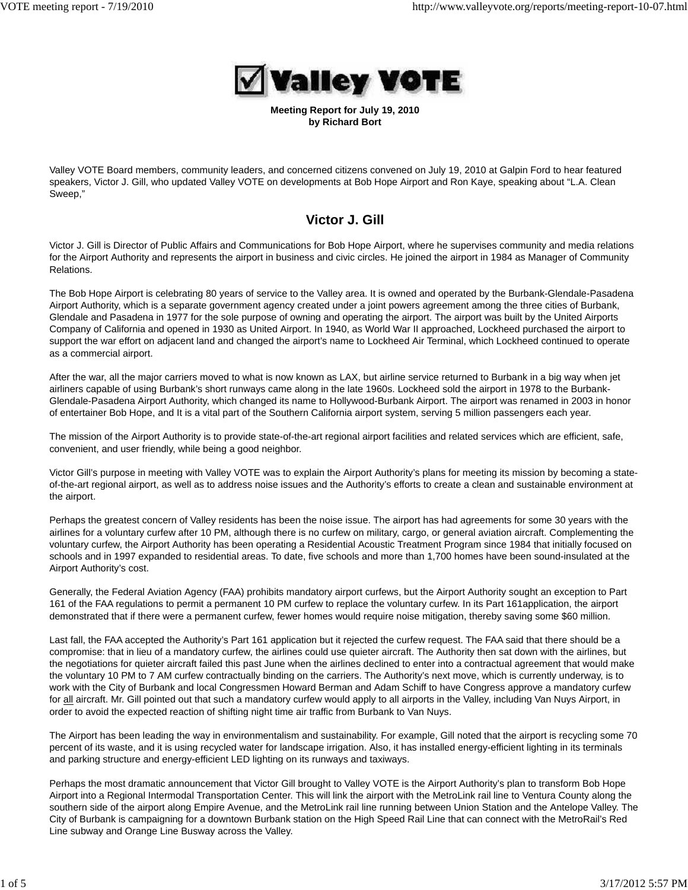

**Meeting Report for July 19, 2010 by Richard Bort**

Valley VOTE Board members, community leaders, and concerned citizens convened on July 19, 2010 at Galpin Ford to hear featured speakers, Victor J. Gill, who updated Valley VOTE on developments at Bob Hope Airport and Ron Kaye, speaking about "L.A. Clean Sweep,"

# **Victor J. Gill**

Victor J. Gill is Director of Public Affairs and Communications for Bob Hope Airport, where he supervises community and media relations for the Airport Authority and represents the airport in business and civic circles. He joined the airport in 1984 as Manager of Community Relations.

The Bob Hope Airport is celebrating 80 years of service to the Valley area. It is owned and operated by the Burbank-Glendale-Pasadena Airport Authority, which is a separate government agency created under a joint powers agreement among the three cities of Burbank, Glendale and Pasadena in 1977 for the sole purpose of owning and operating the airport. The airport was built by the United Airports Company of California and opened in 1930 as United Airport. In 1940, as World War II approached, Lockheed purchased the airport to support the war effort on adjacent land and changed the airport's name to Lockheed Air Terminal, which Lockheed continued to operate as a commercial airport.

After the war, all the major carriers moved to what is now known as LAX, but airline service returned to Burbank in a big way when jet airliners capable of using Burbank's short runways came along in the late 1960s. Lockheed sold the airport in 1978 to the Burbank-Glendale-Pasadena Airport Authority, which changed its name to Hollywood-Burbank Airport. The airport was renamed in 2003 in honor of entertainer Bob Hope, and It is a vital part of the Southern California airport system, serving 5 million passengers each year.

The mission of the Airport Authority is to provide state-of-the-art regional airport facilities and related services which are efficient, safe, convenient, and user friendly, while being a good neighbor.

Victor Gill's purpose in meeting with Valley VOTE was to explain the Airport Authority's plans for meeting its mission by becoming a stateof-the-art regional airport, as well as to address noise issues and the Authority's efforts to create a clean and sustainable environment at the airport.

Perhaps the greatest concern of Valley residents has been the noise issue. The airport has had agreements for some 30 years with the airlines for a voluntary curfew after 10 PM, although there is no curfew on military, cargo, or general aviation aircraft. Complementing the voluntary curfew, the Airport Authority has been operating a Residential Acoustic Treatment Program since 1984 that initially focused on schools and in 1997 expanded to residential areas. To date, five schools and more than 1,700 homes have been sound-insulated at the Airport Authority's cost.

Generally, the Federal Aviation Agency (FAA) prohibits mandatory airport curfews, but the Airport Authority sought an exception to Part 161 of the FAA regulations to permit a permanent 10 PM curfew to replace the voluntary curfew. In its Part 161application, the airport demonstrated that if there were a permanent curfew, fewer homes would require noise mitigation, thereby saving some \$60 million.

Last fall, the FAA accepted the Authority's Part 161 application but it rejected the curfew request. The FAA said that there should be a compromise: that in lieu of a mandatory curfew, the airlines could use quieter aircraft. The Authority then sat down with the airlines, but the negotiations for quieter aircraft failed this past June when the airlines declined to enter into a contractual agreement that would make the voluntary 10 PM to 7 AM curfew contractually binding on the carriers. The Authority's next move, which is currently underway, is to work with the City of Burbank and local Congressmen Howard Berman and Adam Schiff to have Congress approve a mandatory curfew for all aircraft. Mr. Gill pointed out that such a mandatory curfew would apply to all airports in the Valley, including Van Nuys Airport, in order to avoid the expected reaction of shifting night time air traffic from Burbank to Van Nuys.

The Airport has been leading the way in environmentalism and sustainability. For example, Gill noted that the airport is recycling some 70 percent of its waste, and it is using recycled water for landscape irrigation. Also, it has installed energy-efficient lighting in its terminals and parking structure and energy-efficient LED lighting on its runways and taxiways.

Perhaps the most dramatic announcement that Victor Gill brought to Valley VOTE is the Airport Authority's plan to transform Bob Hope Airport into a Regional Intermodal Transportation Center. This will link the airport with the MetroLink rail line to Ventura County along the southern side of the airport along Empire Avenue, and the MetroLink rail line running between Union Station and the Antelope Valley. The City of Burbank is campaigning for a downtown Burbank station on the High Speed Rail Line that can connect with the MetroRail's Red Line subway and Orange Line Busway across the Valley.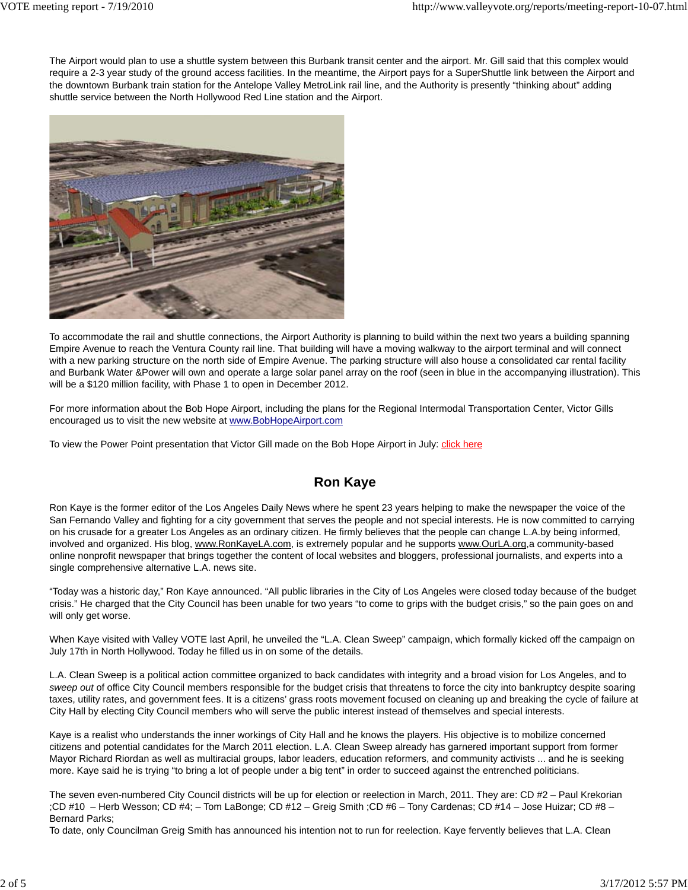The Airport would plan to use a shuttle system between this Burbank transit center and the airport. Mr. Gill said that this complex would require a 2-3 year study of the ground access facilities. In the meantime, the Airport pays for a SuperShuttle link between the Airport and the downtown Burbank train station for the Antelope Valley MetroLink rail line, and the Authority is presently "thinking about" adding shuttle service between the North Hollywood Red Line station and the Airport.



To accommodate the rail and shuttle connections, the Airport Authority is planning to build within the next two years a building spanning Empire Avenue to reach the Ventura County rail line. That building will have a moving walkway to the airport terminal and will connect with a new parking structure on the north side of Empire Avenue. The parking structure will also house a consolidated car rental facility and Burbank Water &Power will own and operate a large solar panel array on the roof (seen in blue in the accompanying illustration). This will be a \$120 million facility, with Phase 1 to open in December 2012.

For more information about the Bob Hope Airport, including the plans for the Regional Intermodal Transportation Center, Victor Gills encouraged us to visit the new website at www.BobHopeAirport.com

To view the Power Point presentation that Victor Gill made on the Bob Hope Airport in July: *click here* 

## **Ron Kaye**

Ron Kaye is the former editor of the Los Angeles Daily News where he spent 23 years helping to make the newspaper the voice of the San Fernando Valley and fighting for a city government that serves the people and not special interests. He is now committed to carrying on his crusade for a greater Los Angeles as an ordinary citizen. He firmly believes that the people can change L.A.by being informed, involved and organized. His blog, www.RonKayeLA.com, is extremely popular and he supports www.OurLA.org,a community-based online nonprofit newspaper that brings together the content of local websites and bloggers, professional journalists, and experts into a single comprehensive alternative L.A. news site.

"Today was a historic day," Ron Kaye announced. "All public libraries in the City of Los Angeles were closed today because of the budget crisis." He charged that the City Council has been unable for two years "to come to grips with the budget crisis," so the pain goes on and will only get worse.

When Kaye visited with Valley VOTE last April, he unveiled the "L.A. Clean Sweep" campaign, which formally kicked off the campaign on July 17th in North Hollywood. Today he filled us in on some of the details.

L.A. Clean Sweep is a political action committee organized to back candidates with integrity and a broad vision for Los Angeles, and to *sweep out* of office City Council members responsible for the budget crisis that threatens to force the city into bankruptcy despite soaring taxes, utility rates, and government fees. It is a citizens' grass roots movement focused on cleaning up and breaking the cycle of failure at City Hall by electing City Council members who will serve the public interest instead of themselves and special interests.

Kaye is a realist who understands the inner workings of City Hall and he knows the players. His objective is to mobilize concerned citizens and potential candidates for the March 2011 election. L.A. Clean Sweep already has garnered important support from former Mayor Richard Riordan as well as multiracial groups, labor leaders, education reformers, and community activists ... and he is seeking more. Kaye said he is trying "to bring a lot of people under a big tent" in order to succeed against the entrenched politicians.

The seven even-numbered City Council districts will be up for election or reelection in March, 2011. They are: CD #2 – Paul Krekorian ;CD #10 – Herb Wesson; CD #4; – Tom LaBonge; CD #12 – Greig Smith ;CD #6 – Tony Cardenas; CD #14 – Jose Huizar; CD #8 – Bernard Parks;

To date, only Councilman Greig Smith has announced his intention not to run for reelection. Kaye fervently believes that L.A. Clean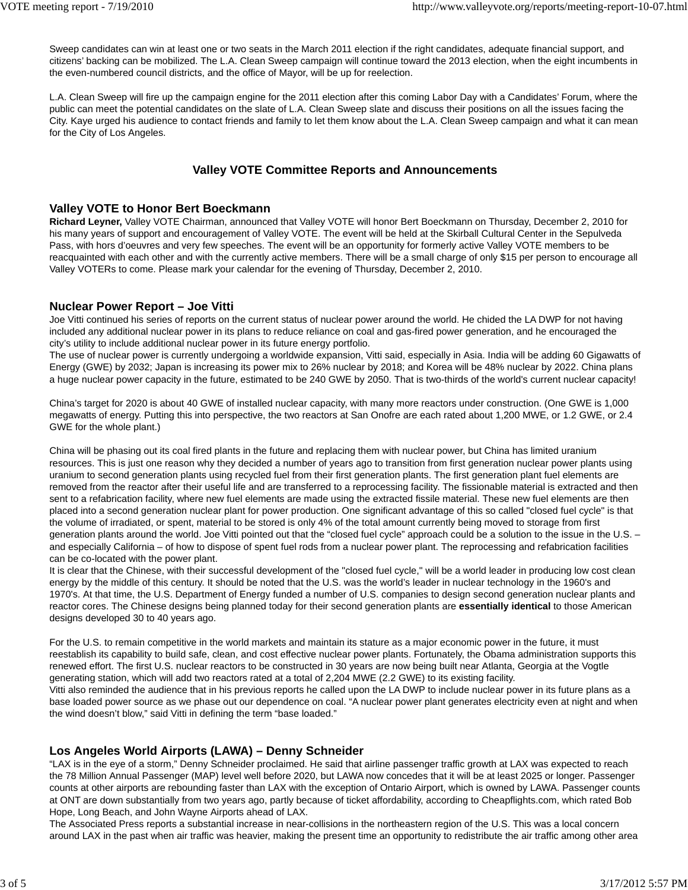Sweep candidates can win at least one or two seats in the March 2011 election if the right candidates, adequate financial support, and citizens' backing can be mobilized. The L.A. Clean Sweep campaign will continue toward the 2013 election, when the eight incumbents in the even-numbered council districts, and the office of Mayor, will be up for reelection.

L.A. Clean Sweep will fire up the campaign engine for the 2011 election after this coming Labor Day with a Candidates' Forum, where the public can meet the potential candidates on the slate of L.A. Clean Sweep slate and discuss their positions on all the issues facing the City. Kaye urged his audience to contact friends and family to let them know about the L.A. Clean Sweep campaign and what it can mean for the City of Los Angeles.

## **Valley VOTE Committee Reports and Announcements**

### **Valley VOTE to Honor Bert Boeckmann**

**Richard Leyner,** Valley VOTE Chairman, announced that Valley VOTE will honor Bert Boeckmann on Thursday, December 2, 2010 for his many years of support and encouragement of Valley VOTE. The event will be held at the Skirball Cultural Center in the Sepulveda Pass, with hors d'oeuvres and very few speeches. The event will be an opportunity for formerly active Valley VOTE members to be reacquainted with each other and with the currently active members. There will be a small charge of only \$15 per person to encourage all Valley VOTERs to come. Please mark your calendar for the evening of Thursday, December 2, 2010.

### **Nuclear Power Report – Joe Vitti**

Joe Vitti continued his series of reports on the current status of nuclear power around the world. He chided the LA DWP for not having included any additional nuclear power in its plans to reduce reliance on coal and gas-fired power generation, and he encouraged the city's utility to include additional nuclear power in its future energy portfolio.

The use of nuclear power is currently undergoing a worldwide expansion, Vitti said, especially in Asia. India will be adding 60 Gigawatts of Energy (GWE) by 2032; Japan is increasing its power mix to 26% nuclear by 2018; and Korea will be 48% nuclear by 2022. China plans a huge nuclear power capacity in the future, estimated to be 240 GWE by 2050. That is two-thirds of the world's current nuclear capacity!

China's target for 2020 is about 40 GWE of installed nuclear capacity, with many more reactors under construction. (One GWE is 1,000 megawatts of energy. Putting this into perspective, the two reactors at San Onofre are each rated about 1,200 MWE, or 1.2 GWE, or 2.4 GWE for the whole plant.)

China will be phasing out its coal fired plants in the future and replacing them with nuclear power, but China has limited uranium resources. This is just one reason why they decided a number of years ago to transition from first generation nuclear power plants using uranium to second generation plants using recycled fuel from their first generation plants. The first generation plant fuel elements are removed from the reactor after their useful life and are transferred to a reprocessing facility. The fissionable material is extracted and then sent to a refabrication facility, where new fuel elements are made using the extracted fissile material. These new fuel elements are then placed into a second generation nuclear plant for power production. One significant advantage of this so called "closed fuel cycle" is that the volume of irradiated, or spent, material to be stored is only 4% of the total amount currently being moved to storage from first generation plants around the world. Joe Vitti pointed out that the "closed fuel cycle" approach could be a solution to the issue in the U.S. – and especially California – of how to dispose of spent fuel rods from a nuclear power plant. The reprocessing and refabrication facilities can be co-located with the power plant.

It is clear that the Chinese, with their successful development of the "closed fuel cycle," will be a world leader in producing low cost clean energy by the middle of this century. It should be noted that the U.S. was the world's leader in nuclear technology in the 1960's and 1970's. At that time, the U.S. Department of Energy funded a number of U.S. companies to design second generation nuclear plants and reactor cores. The Chinese designs being planned today for their second generation plants are **essentially identical** to those American designs developed 30 to 40 years ago.

For the U.S. to remain competitive in the world markets and maintain its stature as a major economic power in the future, it must reestablish its capability to build safe, clean, and cost effective nuclear power plants. Fortunately, the Obama administration supports this renewed effort. The first U.S. nuclear reactors to be constructed in 30 years are now being built near Atlanta, Georgia at the Vogtle generating station, which will add two reactors rated at a total of 2,204 MWE (2.2 GWE) to its existing facility.

Vitti also reminded the audience that in his previous reports he called upon the LA DWP to include nuclear power in its future plans as a base loaded power source as we phase out our dependence on coal. "A nuclear power plant generates electricity even at night and when the wind doesn't blow," said Vitti in defining the term "base loaded."

## **Los Angeles World Airports (LAWA) – Denny Schneider**

"LAX is in the eye of a storm," Denny Schneider proclaimed. He said that airline passenger traffic growth at LAX was expected to reach the 78 Million Annual Passenger (MAP) level well before 2020, but LAWA now concedes that it will be at least 2025 or longer. Passenger counts at other airports are rebounding faster than LAX with the exception of Ontario Airport, which is owned by LAWA. Passenger counts at ONT are down substantially from two years ago, partly because of ticket affordability, according to Cheapflights.com, which rated Bob Hope, Long Beach, and John Wayne Airports ahead of LAX.

The Associated Press reports a substantial increase in near-collisions in the northeastern region of the U.S. This was a local concern around LAX in the past when air traffic was heavier, making the present time an opportunity to redistribute the air traffic among other area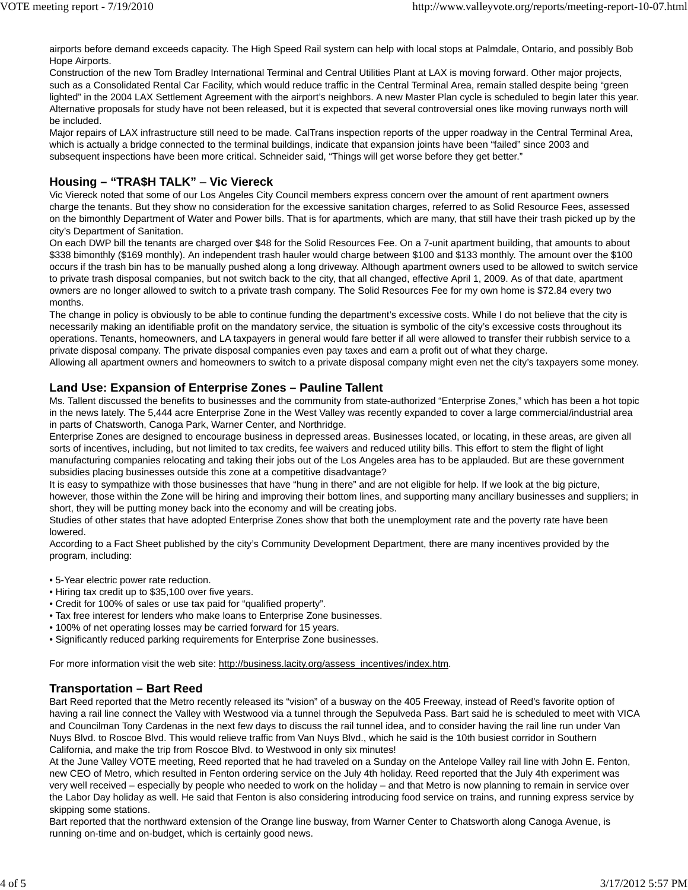airports before demand exceeds capacity. The High Speed Rail system can help with local stops at Palmdale, Ontario, and possibly Bob Hope Airports.

Construction of the new Tom Bradley International Terminal and Central Utilities Plant at LAX is moving forward. Other major projects, such as a Consolidated Rental Car Facility, which would reduce traffic in the Central Terminal Area, remain stalled despite being "green lighted" in the 2004 LAX Settlement Agreement with the airport's neighbors. A new Master Plan cycle is scheduled to begin later this year. Alternative proposals for study have not been released, but it is expected that several controversial ones like moving runways north will be included.

Major repairs of LAX infrastructure still need to be made. CalTrans inspection reports of the upper roadway in the Central Terminal Area, which is actually a bridge connected to the terminal buildings, indicate that expansion joints have been "failed" since 2003 and subsequent inspections have been more critical. Schneider said, "Things will get worse before they get better."

#### **Housing – "TRA\$H TALK"** – **Vic Viereck**

Vic Viereck noted that some of our Los Angeles City Council members express concern over the amount of rent apartment owners charge the tenants. But they show no consideration for the excessive sanitation charges, referred to as Solid Resource Fees, assessed on the bimonthly Department of Water and Power bills. That is for apartments, which are many, that still have their trash picked up by the city's Department of Sanitation.

On each DWP bill the tenants are charged over \$48 for the Solid Resources Fee. On a 7-unit apartment building, that amounts to about \$338 bimonthly (\$169 monthly). An independent trash hauler would charge between \$100 and \$133 monthly. The amount over the \$100 occurs if the trash bin has to be manually pushed along a long driveway. Although apartment owners used to be allowed to switch service to private trash disposal companies, but not switch back to the city, that all changed, effective April 1, 2009. As of that date, apartment owners are no longer allowed to switch to a private trash company. The Solid Resources Fee for my own home is \$72.84 every two months.

The change in policy is obviously to be able to continue funding the department's excessive costs. While I do not believe that the city is necessarily making an identifiable profit on the mandatory service, the situation is symbolic of the city's excessive costs throughout its operations. Tenants, homeowners, and LA taxpayers in general would fare better if all were allowed to transfer their rubbish service to a private disposal company. The private disposal companies even pay taxes and earn a profit out of what they charge. Allowing all apartment owners and homeowners to switch to a private disposal company might even net the city's taxpayers some money.

#### **Land Use: Expansion of Enterprise Zones – Pauline Tallent**

Ms. Tallent discussed the benefits to businesses and the community from state-authorized "Enterprise Zones," which has been a hot topic in the news lately. The 5,444 acre Enterprise Zone in the West Valley was recently expanded to cover a large commercial/industrial area in parts of Chatsworth, Canoga Park, Warner Center, and Northridge.

Enterprise Zones are designed to encourage business in depressed areas. Businesses located, or locating, in these areas, are given all sorts of incentives, including, but not limited to tax credits, fee waivers and reduced utility bills. This effort to stem the flight of light manufacturing companies relocating and taking their jobs out of the Los Angeles area has to be applauded. But are these government subsidies placing businesses outside this zone at a competitive disadvantage?

It is easy to sympathize with those businesses that have "hung in there" and are not eligible for help. If we look at the big picture, however, those within the Zone will be hiring and improving their bottom lines, and supporting many ancillary businesses and suppliers; in short, they will be putting money back into the economy and will be creating jobs.

Studies of other states that have adopted Enterprise Zones show that both the unemployment rate and the poverty rate have been lowered.

According to a Fact Sheet published by the city's Community Development Department, there are many incentives provided by the program, including:

- 5-Year electric power rate reduction.
- Hiring tax credit up to \$35,100 over five years.
- Credit for 100% of sales or use tax paid for "qualified property".
- Tax free interest for lenders who make loans to Enterprise Zone businesses.
- 100% of net operating losses may be carried forward for 15 years.
- Significantly reduced parking requirements for Enterprise Zone businesses.

For more information visit the web site: http://business.lacity.org/assess\_incentives/index.htm.

#### **Transportation – Bart Reed**

Bart Reed reported that the Metro recently released its "vision" of a busway on the 405 Freeway, instead of Reed's favorite option of having a rail line connect the Valley with Westwood via a tunnel through the Sepulveda Pass. Bart said he is scheduled to meet with VICA and Councilman Tony Cardenas in the next few days to discuss the rail tunnel idea, and to consider having the rail line run under Van Nuys Blvd. to Roscoe Blvd. This would relieve traffic from Van Nuys Blvd., which he said is the 10th busiest corridor in Southern California, and make the trip from Roscoe Blvd. to Westwood in only six minutes!

At the June Valley VOTE meeting, Reed reported that he had traveled on a Sunday on the Antelope Valley rail line with John E. Fenton, new CEO of Metro, which resulted in Fenton ordering service on the July 4th holiday. Reed reported that the July 4th experiment was very well received – especially by people who needed to work on the holiday – and that Metro is now planning to remain in service over the Labor Day holiday as well. He said that Fenton is also considering introducing food service on trains, and running express service by skipping some stations.

Bart reported that the northward extension of the Orange line busway, from Warner Center to Chatsworth along Canoga Avenue, is running on-time and on-budget, which is certainly good news.